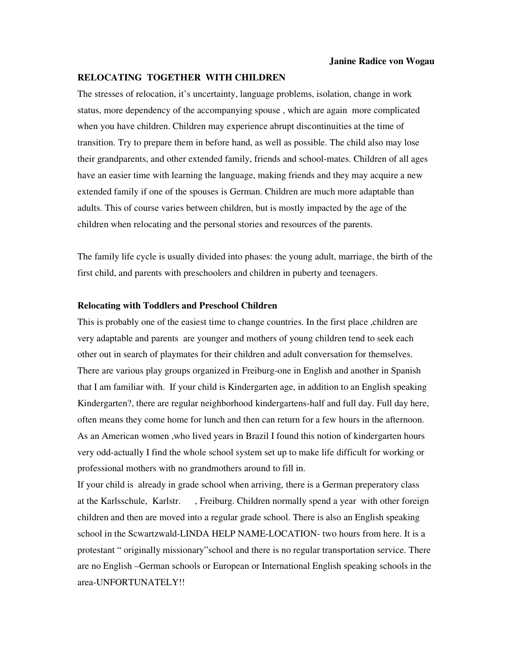## **RELOCATING TOGETHER WITH CHILDREN**

The stresses of relocation, it's uncertainty, language problems, isolation, change in work status, more dependency of the accompanying spouse , which are again more complicated when you have children. Children may experience abrupt discontinuities at the time of transition. Try to prepare them in before hand, as well as possible. The child also may lose their grandparents, and other extended family, friends and school-mates. Children of all ages have an easier time with learning the language, making friends and they may acquire a new extended family if one of the spouses is German. Children are much more adaptable than adults. This of course varies between children, but is mostly impacted by the age of the children when relocating and the personal stories and resources of the parents.

The family life cycle is usually divided into phases: the young adult, marriage, the birth of the first child, and parents with preschoolers and children in puberty and teenagers.

## **Relocating with Toddlers and Preschool Children**

This is probably one of the easiest time to change countries. In the first place ,children are very adaptable and parents are younger and mothers of young children tend to seek each other out in search of playmates for their children and adult conversation for themselves. There are various play groups organized in Freiburg-one in English and another in Spanish that I am familiar with. If your child is Kindergarten age, in addition to an English speaking Kindergarten?, there are regular neighborhood kindergartens-half and full day. Full day here, often means they come home for lunch and then can return for a few hours in the afternoon. As an American women ,who lived years in Brazil I found this notion of kindergarten hours very odd-actually I find the whole school system set up to make life difficult for working or professional mothers with no grandmothers around to fill in.

If your child is already in grade school when arriving, there is a German preperatory class at the Karlsschule, Karlstr. , Freiburg. Children normally spend a year with other foreign children and then are moved into a regular grade school. There is also an English speaking school in the Scwartzwald-LINDA HELP NAME-LOCATION- two hours from here. It is a protestant " originally missionary"school and there is no regular transportation service. There are no English –German schools or European or International English speaking schools in the area-UNFORTUNATELY!!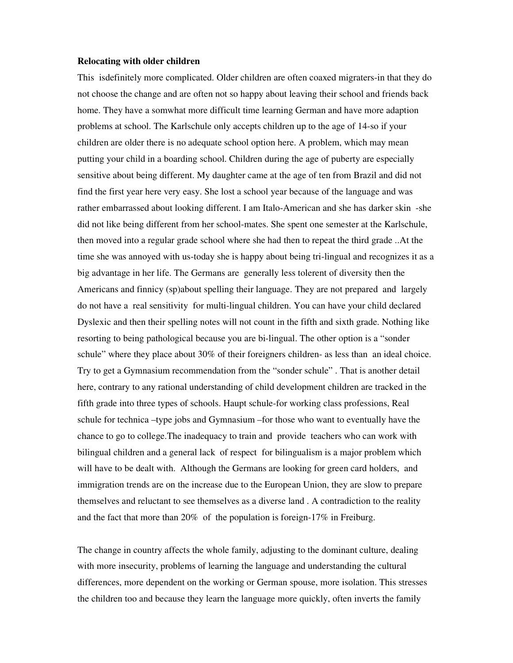## **Relocating with older children**

This isdefinitely more complicated. Older children are often coaxed migraters-in that they do not choose the change and are often not so happy about leaving their school and friends back home. They have a somwhat more difficult time learning German and have more adaption problems at school. The Karlschule only accepts children up to the age of 14-so if your children are older there is no adequate school option here. A problem, which may mean putting your child in a boarding school. Children during the age of puberty are especially sensitive about being different. My daughter came at the age of ten from Brazil and did not find the first year here very easy. She lost a school year because of the language and was rather embarrassed about looking different. I am Italo-American and she has darker skin -she did not like being different from her school-mates. She spent one semester at the Karlschule, then moved into a regular grade school where she had then to repeat the third grade ..At the time she was annoyed with us-today she is happy about being tri-lingual and recognizes it as a big advantage in her life. The Germans are generally less tolerent of diversity then the Americans and finnicy (sp)about spelling their language. They are not prepared and largely do not have a real sensitivity for multi-lingual children. You can have your child declared Dyslexic and then their spelling notes will not count in the fifth and sixth grade. Nothing like resorting to being pathological because you are bi-lingual. The other option is a "sonder schule" where they place about 30% of their foreigners children- as less than an ideal choice. Try to get a Gymnasium recommendation from the "sonder schule" . That is another detail here, contrary to any rational understanding of child development children are tracked in the fifth grade into three types of schools. Haupt schule-for working class professions, Real schule for technica –type jobs and Gymnasium –for those who want to eventually have the chance to go to college.The inadequacy to train and provide teachers who can work with bilingual children and a general lack of respect for bilingualism is a major problem which will have to be dealt with. Although the Germans are looking for green card holders, and immigration trends are on the increase due to the European Union, they are slow to prepare themselves and reluctant to see themselves as a diverse land . A contradiction to the reality and the fact that more than 20% of the population is foreign-17% in Freiburg.

The change in country affects the whole family, adjusting to the dominant culture, dealing with more insecurity, problems of learning the language and understanding the cultural differences, more dependent on the working or German spouse, more isolation. This stresses the children too and because they learn the language more quickly, often inverts the family